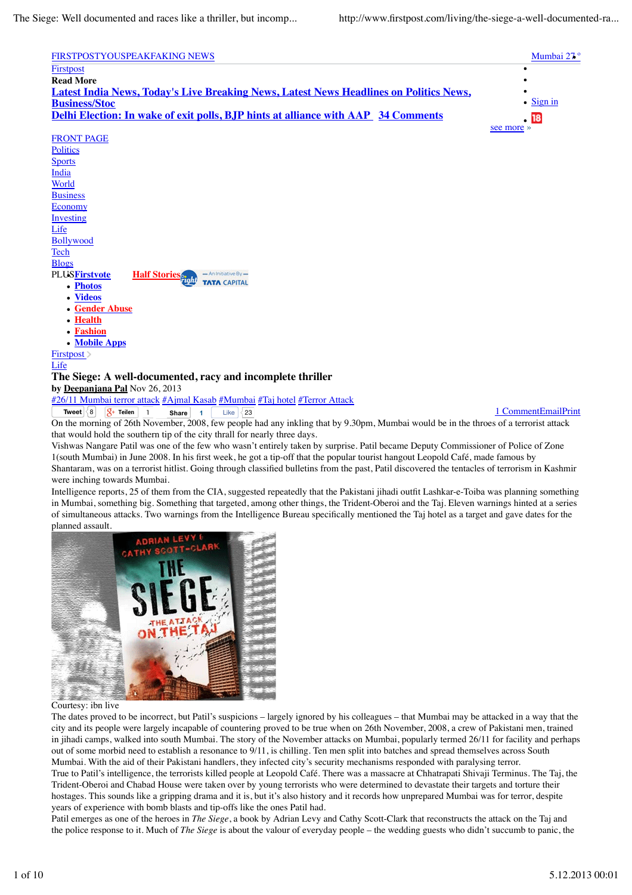| FIRSTPOSTYOUSPEAKFAKING NEWS                                                                  | Mumbai 27 <sup>°</sup> |
|-----------------------------------------------------------------------------------------------|------------------------|
| Firstpost                                                                                     |                        |
| <b>Read More</b>                                                                              |                        |
| <u>Latest India News, Today's Live Breaking News, Latest News Headlines on Politics News,</u> |                        |
| <b>Business/Stoc</b>                                                                          | $\bullet$ Sign in      |
| <b>Delhi Election: In wake of exit polls, BJP hints at alliance with AAP 34 Comments</b>      | $-18$                  |
|                                                                                               | see more »             |
| <b>FRONT PAGE</b>                                                                             |                        |

| <b>FRONT PAGE</b>                                                  |  |
|--------------------------------------------------------------------|--|
| <b>Politics</b>                                                    |  |
| <b>Sports</b>                                                      |  |
| <b>India</b>                                                       |  |
| World                                                              |  |
| <b>Business</b>                                                    |  |
| <b>Economy</b>                                                     |  |
| Investing                                                          |  |
| Life                                                               |  |
| <b>Bollywood</b>                                                   |  |
| Tech                                                               |  |
| <b>Blogs</b>                                                       |  |
| - An Initiative By-<br><b>PLUSFirstvote</b><br><b>Half Stories</b> |  |
| <b>TATA CAPITAL</b><br>• Photos                                    |  |
| • Videos                                                           |  |
| • Gender Abuse                                                     |  |
| • Health                                                           |  |
| • Fashion                                                          |  |
| • Mobile Apps                                                      |  |
| First post >                                                       |  |
| Life                                                               |  |
| The Siege: A well-documented, racy and incomplete thriller         |  |

**by Deepanjana Pal** Nov 26, 2013

**Tweet**  $\begin{array}{|c|c|c|c|c|}\n\hline\n8 & \boxed{8} + \text{Teilen} & \boxed{1} & \text{Share} & \boxed{1} & \text{Like} & \boxed{23} \\
\hline\n\end{array}$ #26/11 Mumbai terror attack #Ajmal Kasab #Mumbai #Taj hotel #Terror Attack **Share** 1

On the morning of 26th November, 2008, few people had any inkling that by 9.30pm, Mumbai would be in the throes of a terrorist attack that would hold the southern tip of the city thrall for nearly three days.

Vishwas Nangare Patil was one of the few who wasn't entirely taken by surprise. Patil became Deputy Commissioner of Police of Zone 1(south Mumbai) in June 2008. In his first week, he got a tip-off that the popular tourist hangout Leopold Café, made famous by Shantaram, was on a terrorist hitlist. Going through classified bulletins from the past, Patil discovered the tentacles of terrorism in Kashmir were inching towards Mumbai.

Intelligence reports, 25 of them from the CIA, suggested repeatedly that the Pakistani jihadi outfit Lashkar-e-Toiba was planning something in Mumbai, something big. Something that targeted, among other things, the Trident-Oberoi and the Taj. Eleven warnings hinted at a series of simultaneous attacks. Two warnings from the Intelligence Bureau specifically mentioned the Taj hotel as a target and gave dates for the planned assault.



## Courtesy: ibn live

The dates proved to be incorrect, but Patil's suspicions – largely ignored by his colleagues – that Mumbai may be attacked in a way that the city and its people were largely incapable of countering proved to be true when on 26th November, 2008, a crew of Pakistani men, trained in jihadi camps, walked into south Mumbai. The story of the November attacks on Mumbai, popularly termed 26/11 for facility and perhaps out of some morbid need to establish a resonance to 9/11, is chilling. Ten men split into batches and spread themselves across South Mumbai. With the aid of their Pakistani handlers, they infected city's security mechanisms responded with paralysing terror.

True to Patil's intelligence, the terrorists killed people at Leopold Café. There was a massacre at Chhatrapati Shivaji Terminus. The Taj, the Trident-Oberoi and Chabad House were taken over by young terrorists who were determined to devastate their targets and torture their hostages. This sounds like a gripping drama and it is, but it's also history and it records how unprepared Mumbai was for terror, despite years of experience with bomb blasts and tip-offs like the ones Patil had.

Patil emerges as one of the heroes in *The Siege*, a book by Adrian Levy and Cathy Scott-Clark that reconstructs the attack on the Taj and the police response to it. Much of *The Siege* is about the valour of everyday people – the wedding guests who didn't succumb to panic, the